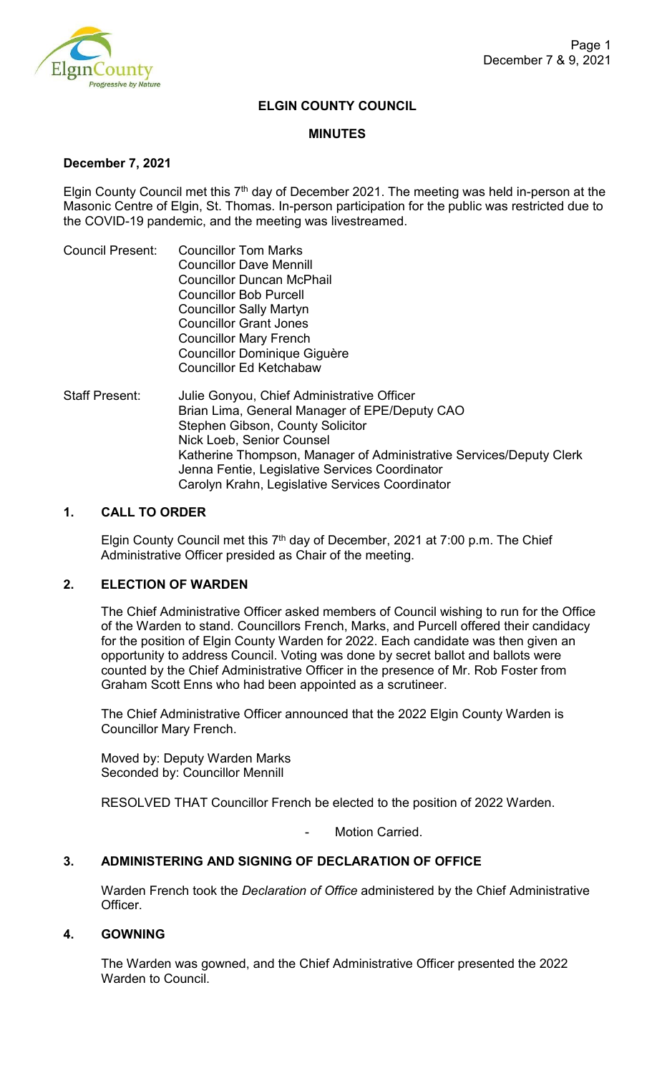

## **ELGIN COUNTY COUNCIL**

#### **MINUTES**

#### **December 7, 2021**

Elgin County Council met this  $7<sup>th</sup>$  day of December 2021. The meeting was held in-person at the Masonic Centre of Elgin, St. Thomas. In-person participation for the public was restricted due to the COVID-19 pandemic, and the meeting was livestreamed.

| <b>Councillor Tom Marks</b>                                                                |
|--------------------------------------------------------------------------------------------|
| <b>Councillor Dave Mennill</b>                                                             |
| <b>Councillor Duncan McPhail</b>                                                           |
| <b>Councillor Bob Purcell</b>                                                              |
| <b>Councillor Sally Martyn</b>                                                             |
| <b>Councillor Grant Jones</b>                                                              |
| <b>Councillor Mary French</b>                                                              |
| Councillor Dominique Giguère                                                               |
| <b>Councillor Ed Ketchabaw</b>                                                             |
| Julie Gonyou, Chief Administrative Officer<br>Brian Lima Ceneral Manager of EDE/Deputy CAO |
|                                                                                            |

 Brian Lima, General Manager of EPE/Deputy CAO Stephen Gibson, County Solicitor Nick Loeb, Senior Counsel Katherine Thompson, Manager of Administrative Services/Deputy Clerk Jenna Fentie, Legislative Services Coordinator Carolyn Krahn, Legislative Services Coordinator

#### **1. CALL TO ORDER**

Elgin County Council met this 7<sup>th</sup> day of December, 2021 at 7:00 p.m. The Chief Administrative Officer presided as Chair of the meeting.

## **2. ELECTION OF WARDEN**

The Chief Administrative Officer asked members of Council wishing to run for the Office of the Warden to stand. Councillors French, Marks, and Purcell offered their candidacy for the position of Elgin County Warden for 2022. Each candidate was then given an opportunity to address Council. Voting was done by secret ballot and ballots were counted by the Chief Administrative Officer in the presence of Mr. Rob Foster from Graham Scott Enns who had been appointed as a scrutineer.

The Chief Administrative Officer announced that the 2022 Elgin County Warden is Councillor Mary French.

Moved by: Deputy Warden Marks Seconded by: Councillor Mennill

RESOLVED THAT Councillor French be elected to the position of 2022 Warden.

Motion Carried.

# **3. ADMINISTERING AND SIGNING OF DECLARATION OF OFFICE**

Warden French took the *Declaration of Office* administered by the Chief Administrative Officer.

#### **4. GOWNING**

The Warden was gowned, and the Chief Administrative Officer presented the 2022 Warden to Council.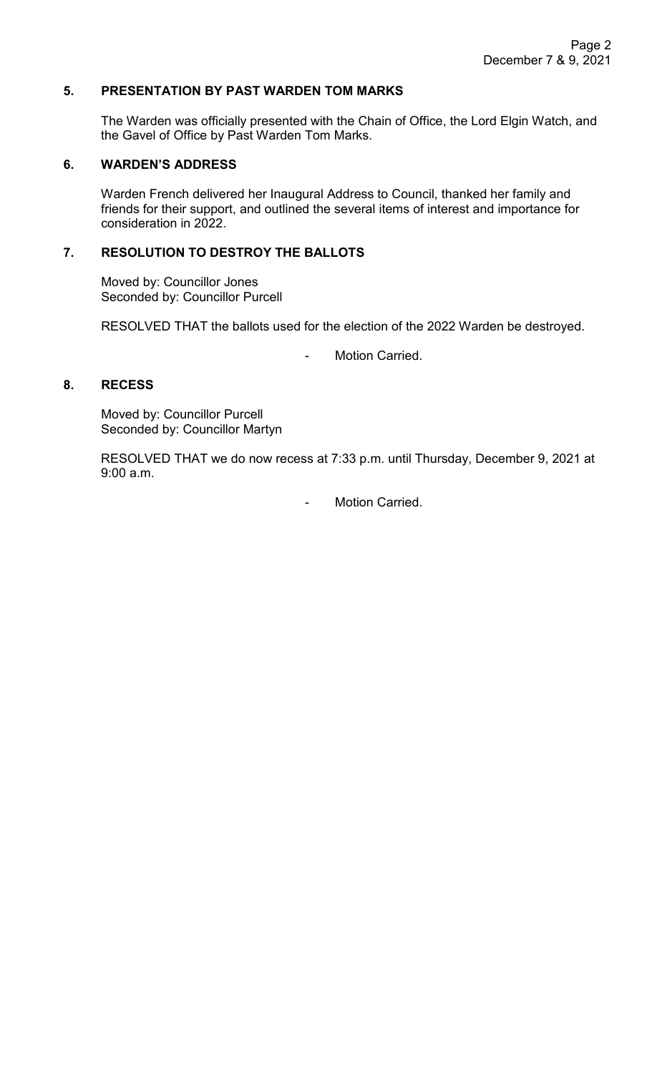## **5. PRESENTATION BY PAST WARDEN TOM MARKS**

The Warden was officially presented with the Chain of Office, the Lord Elgin Watch, and the Gavel of Office by Past Warden Tom Marks.

#### **6. WARDEN'S ADDRESS**

Warden French delivered her Inaugural Address to Council, thanked her family and friends for their support, and outlined the several items of interest and importance for consideration in 2022.

# **7. RESOLUTION TO DESTROY THE BALLOTS**

Moved by: Councillor Jones Seconded by: Councillor Purcell

RESOLVED THAT the ballots used for the election of the 2022 Warden be destroyed.

- Motion Carried.

# **8. RECESS**

Moved by: Councillor Purcell Seconded by: Councillor Martyn

RESOLVED THAT we do now recess at 7:33 p.m. until Thursday, December 9, 2021 at 9:00 a.m.

- Motion Carried.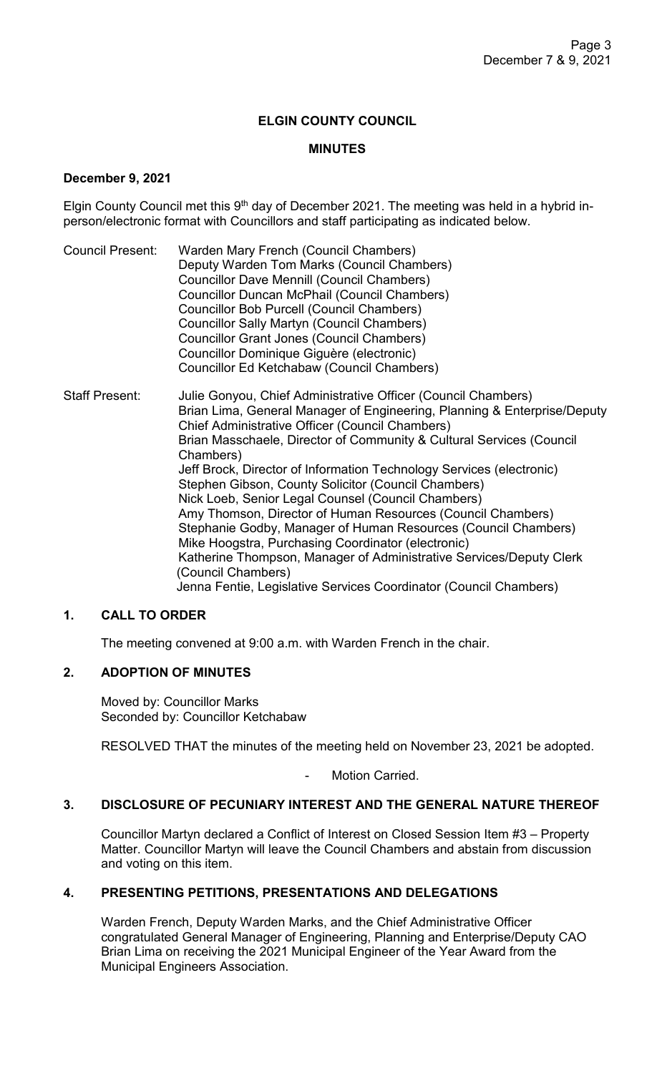# **ELGIN COUNTY COUNCIL**

# **MINUTES**

## **December 9, 2021**

Elgin County Council met this  $9<sup>th</sup>$  day of December 2021. The meeting was held in a hybrid inperson/electronic format with Councillors and staff participating as indicated below.

Council Present: Warden Mary French (Council Chambers) Deputy Warden Tom Marks (Council Chambers) Councillor Dave Mennill (Council Chambers) Councillor Duncan McPhail (Council Chambers) Councillor Bob Purcell (Council Chambers) Councillor Sally Martyn (Council Chambers) Councillor Grant Jones (Council Chambers) Councillor Dominique Giguère (electronic) Councillor Ed Ketchabaw (Council Chambers)

Staff Present: Julie Gonyou, Chief Administrative Officer (Council Chambers) Brian Lima, General Manager of Engineering, Planning & Enterprise/Deputy Chief Administrative Officer (Council Chambers) Brian Masschaele, Director of Community & Cultural Services (Council Chambers) Jeff Brock, Director of Information Technology Services (electronic) Stephen Gibson, County Solicitor (Council Chambers) Nick Loeb, Senior Legal Counsel (Council Chambers) Amy Thomson, Director of Human Resources (Council Chambers) Stephanie Godby, Manager of Human Resources (Council Chambers) Mike Hoogstra, Purchasing Coordinator (electronic) Katherine Thompson, Manager of Administrative Services/Deputy Clerk (Council Chambers) Jenna Fentie, Legislative Services Coordinator (Council Chambers)

# **1. CALL TO ORDER**

The meeting convened at 9:00 a.m. with Warden French in the chair.

# **2. ADOPTION OF MINUTES**

Moved by: Councillor Marks Seconded by: Councillor Ketchabaw

RESOLVED THAT the minutes of the meeting held on November 23, 2021 be adopted.

Motion Carried.

#### **3. DISCLOSURE OF PECUNIARY INTEREST AND THE GENERAL NATURE THEREOF**

Councillor Martyn declared a Conflict of Interest on Closed Session Item #3 – Property Matter. Councillor Martyn will leave the Council Chambers and abstain from discussion and voting on this item.

# **4. PRESENTING PETITIONS, PRESENTATIONS AND DELEGATIONS**

Warden French, Deputy Warden Marks, and the Chief Administrative Officer congratulated General Manager of Engineering, Planning and Enterprise/Deputy CAO Brian Lima on receiving the 2021 Municipal Engineer of the Year Award from the Municipal Engineers Association.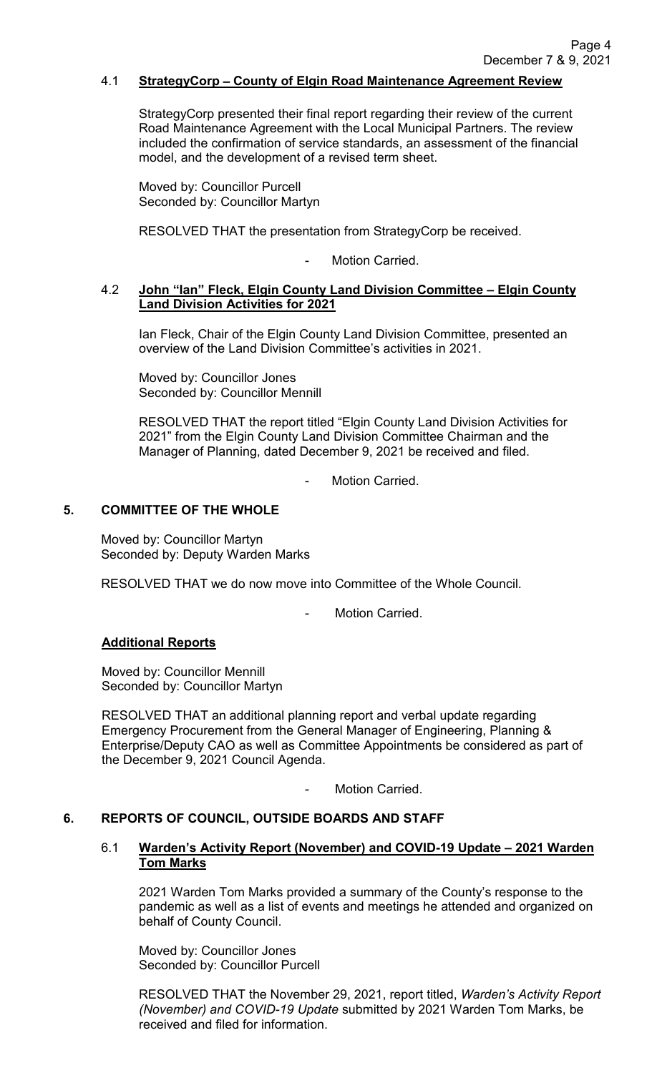### 4.1 **StrategyCorp** – **County of Elgin Road Maintenance Agreement Review**

StrategyCorp presented their final report regarding their review of the current Road Maintenance Agreement with the Local Municipal Partners. The review included the confirmation of service standards, an assessment of the financial model, and the development of a revised term sheet.

Moved by: Councillor Purcell Seconded by: Councillor Martyn

RESOLVED THAT the presentation from StrategyCorp be received.

Motion Carried.

#### 4.2 **John "Ian" Fleck, Elgin County Land Division Committee – Elgin County Land Division Activities for 2021**

Ian Fleck, Chair of the Elgin County Land Division Committee, presented an overview of the Land Division Committee's activities in 2021.

Moved by: Councillor Jones Seconded by: Councillor Mennill

RESOLVED THAT the report titled "Elgin County Land Division Activities for 2021" from the Elgin County Land Division Committee Chairman and the Manager of Planning, dated December 9, 2021 be received and filed.

Motion Carried.

## **5. COMMITTEE OF THE WHOLE**

Moved by: Councillor Martyn Seconded by: Deputy Warden Marks

RESOLVED THAT we do now move into Committee of the Whole Council.

Motion Carried

#### **Additional Reports**

Moved by: Councillor Mennill Seconded by: Councillor Martyn

RESOLVED THAT an additional planning report and verbal update regarding Emergency Procurement from the General Manager of Engineering, Planning & Enterprise/Deputy CAO as well as Committee Appointments be considered as part of the December 9, 2021 Council Agenda.

Motion Carried.

#### **6. REPORTS OF COUNCIL, OUTSIDE BOARDS AND STAFF**

## 6.1 **Warden's Activity Report (November) and COVID-19 Update – 2021 Warden Tom Marks**

2021 Warden Tom Marks provided a summary of the County's response to the pandemic as well as a list of events and meetings he attended and organized on behalf of County Council.

Moved by: Councillor Jones Seconded by: Councillor Purcell

RESOLVED THAT the November 29, 2021, report titled, *Warden's Activity Report (November) and COVID-19 Update* submitted by 2021 Warden Tom Marks, be received and filed for information.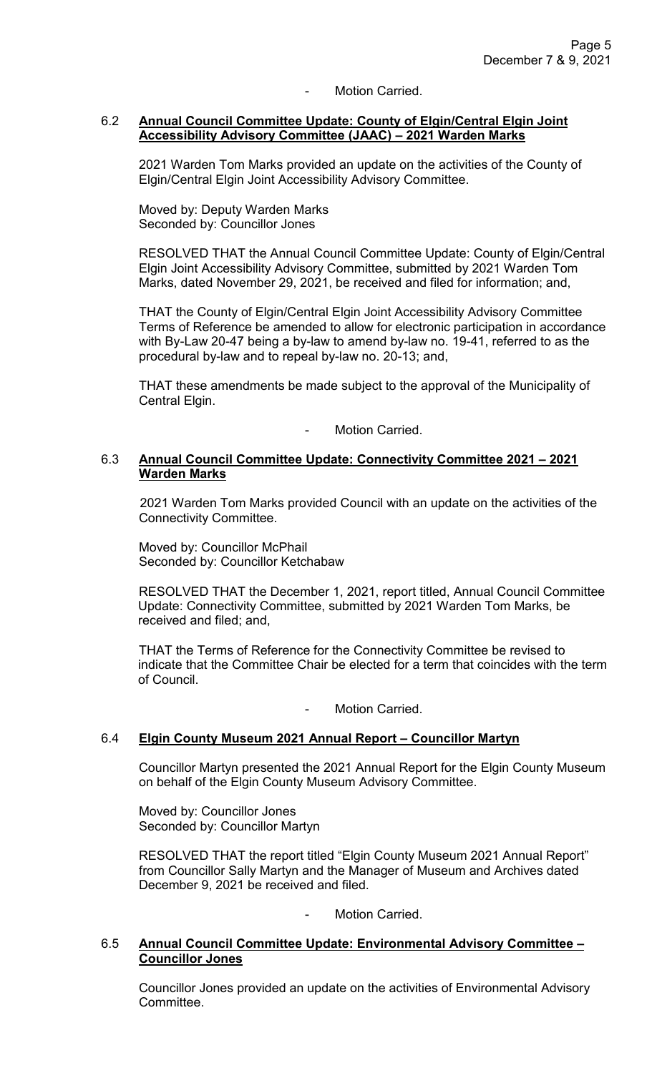# Motion Carried.

#### 6.2 **Annual Council Committee Update: County of Elgin/Central Elgin Joint Accessibility Advisory Committee (JAAC) – 2021 Warden Marks**

2021 Warden Tom Marks provided an update on the activities of the County of Elgin/Central Elgin Joint Accessibility Advisory Committee.

Moved by: Deputy Warden Marks Seconded by: Councillor Jones

RESOLVED THAT the Annual Council Committee Update: County of Elgin/Central Elgin Joint Accessibility Advisory Committee, submitted by 2021 Warden Tom Marks, dated November 29, 2021, be received and filed for information; and,

THAT the County of Elgin/Central Elgin Joint Accessibility Advisory Committee Terms of Reference be amended to allow for electronic participation in accordance with By-Law 20-47 being a by-law to amend by-law no. 19-41, referred to as the procedural by-law and to repeal by-law no. 20-13; and,

THAT these amendments be made subject to the approval of the Municipality of Central Elgin.

Motion Carried.

## 6.3 **Annual Council Committee Update: Connectivity Committee 2021 – 2021 Warden Marks**

2021 Warden Tom Marks provided Council with an update on the activities of the Connectivity Committee.

Moved by: Councillor McPhail Seconded by: Councillor Ketchabaw

RESOLVED THAT the December 1, 2021, report titled, Annual Council Committee Update: Connectivity Committee, submitted by 2021 Warden Tom Marks, be received and filed; and,

THAT the Terms of Reference for the Connectivity Committee be revised to indicate that the Committee Chair be elected for a term that coincides with the term of Council.

Motion Carried.

# 6.4 **Elgin County Museum 2021 Annual Report – Councillor Martyn**

Councillor Martyn presented the 2021 Annual Report for the Elgin County Museum on behalf of the Elgin County Museum Advisory Committee.

Moved by: Councillor Jones Seconded by: Councillor Martyn

RESOLVED THAT the report titled "Elgin County Museum 2021 Annual Report" from Councillor Sally Martyn and the Manager of Museum and Archives dated December 9, 2021 be received and filed.

Motion Carried.

## 6.5 **Annual Council Committee Update: Environmental Advisory Committee – Councillor Jones**

Councillor Jones provided an update on the activities of Environmental Advisory Committee.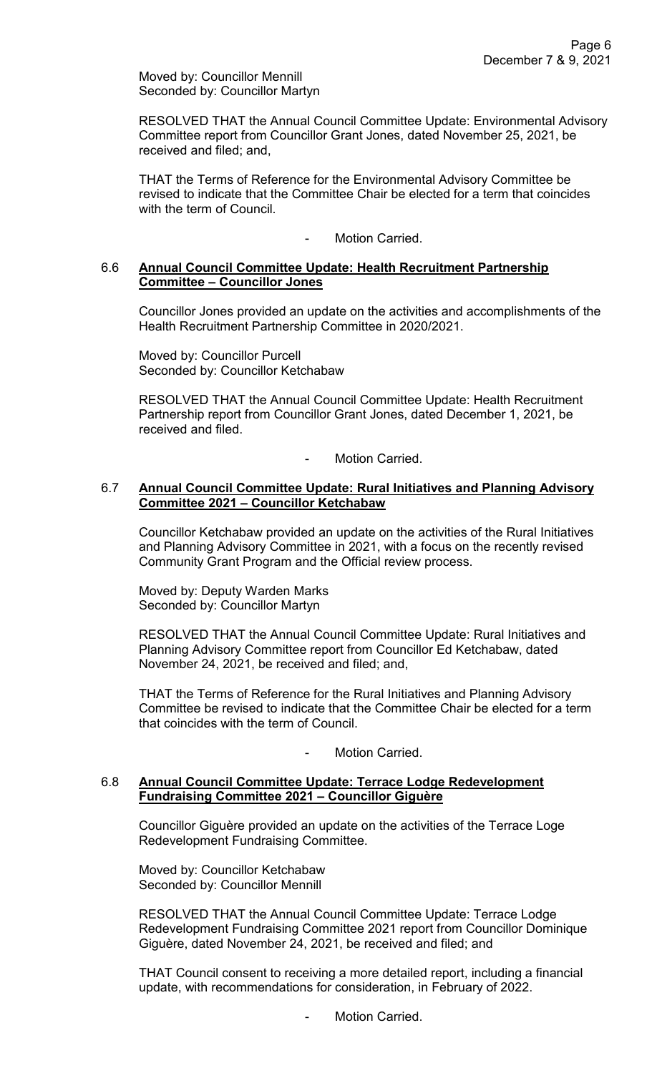Moved by: Councillor Mennill Seconded by: Councillor Martyn

RESOLVED THAT the Annual Council Committee Update: Environmental Advisory Committee report from Councillor Grant Jones, dated November 25, 2021, be received and filed; and,

THAT the Terms of Reference for the Environmental Advisory Committee be revised to indicate that the Committee Chair be elected for a term that coincides with the term of Council.

# - Motion Carried.

#### 6.6 **Annual Council Committee Update: Health Recruitment Partnership Committee – Councillor Jones**

Councillor Jones provided an update on the activities and accomplishments of the Health Recruitment Partnership Committee in 2020/2021.

Moved by: Councillor Purcell Seconded by: Councillor Ketchabaw

RESOLVED THAT the Annual Council Committee Update: Health Recruitment Partnership report from Councillor Grant Jones, dated December 1, 2021, be received and filed.

Motion Carried.

### 6.7 **Annual Council Committee Update: Rural Initiatives and Planning Advisory Committee 2021 – Councillor Ketchabaw**

Councillor Ketchabaw provided an update on the activities of the Rural Initiatives and Planning Advisory Committee in 2021, with a focus on the recently revised Community Grant Program and the Official review process.

Moved by: Deputy Warden Marks Seconded by: Councillor Martyn

RESOLVED THAT the Annual Council Committee Update: Rural Initiatives and Planning Advisory Committee report from Councillor Ed Ketchabaw, dated November 24, 2021, be received and filed; and,

THAT the Terms of Reference for the Rural Initiatives and Planning Advisory Committee be revised to indicate that the Committee Chair be elected for a term that coincides with the term of Council.

- Motion Carried.

#### 6.8 **Annual Council Committee Update: Terrace Lodge Redevelopment Fundraising Committee 2021 – Councillor Giguère**

Councillor Giguère provided an update on the activities of the Terrace Loge Redevelopment Fundraising Committee.

Moved by: Councillor Ketchabaw Seconded by: Councillor Mennill

RESOLVED THAT the Annual Council Committee Update: Terrace Lodge Redevelopment Fundraising Committee 2021 report from Councillor Dominique Giguère, dated November 24, 2021, be received and filed; and

THAT Council consent to receiving a more detailed report, including a financial update, with recommendations for consideration, in February of 2022.

Motion Carried.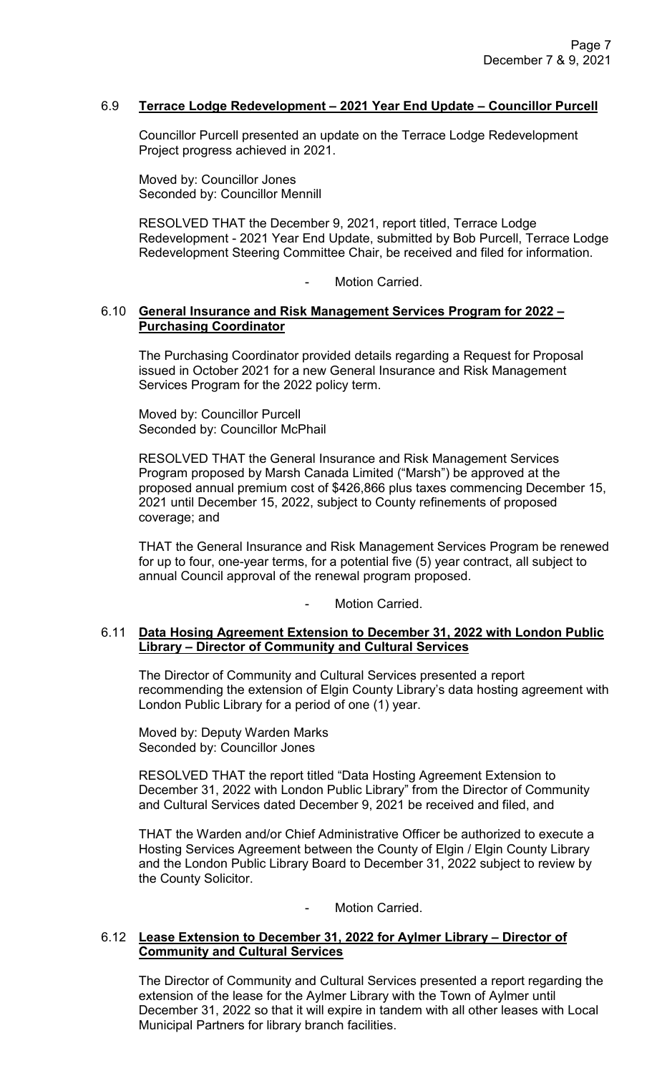## 6.9 **Terrace Lodge Redevelopment – 2021 Year End Update – Councillor Purcell**

Councillor Purcell presented an update on the Terrace Lodge Redevelopment Project progress achieved in 2021.

Moved by: Councillor Jones Seconded by: Councillor Mennill

RESOLVED THAT the December 9, 2021, report titled, Terrace Lodge Redevelopment - 2021 Year End Update, submitted by Bob Purcell, Terrace Lodge Redevelopment Steering Committee Chair, be received and filed for information.

Motion Carried.

#### 6.10 **General Insurance and Risk Management Services Program for 2022 – Purchasing Coordinator**

The Purchasing Coordinator provided details regarding a Request for Proposal issued in October 2021 for a new General Insurance and Risk Management Services Program for the 2022 policy term.

Moved by: Councillor Purcell Seconded by: Councillor McPhail

RESOLVED THAT the General Insurance and Risk Management Services Program proposed by Marsh Canada Limited ("Marsh") be approved at the proposed annual premium cost of \$426,866 plus taxes commencing December 15, 2021 until December 15, 2022, subject to County refinements of proposed coverage; and

THAT the General Insurance and Risk Management Services Program be renewed for up to four, one-year terms, for a potential five (5) year contract, all subject to annual Council approval of the renewal program proposed.

Motion Carried.

#### 6.11 **Data Hosing Agreement Extension to December 31, 2022 with London Public Library – Director of Community and Cultural Services**

The Director of Community and Cultural Services presented a report recommending the extension of Elgin County Library's data hosting agreement with London Public Library for a period of one (1) year.

Moved by: Deputy Warden Marks Seconded by: Councillor Jones

RESOLVED THAT the report titled "Data Hosting Agreement Extension to December 31, 2022 with London Public Library" from the Director of Community and Cultural Services dated December 9, 2021 be received and filed, and

THAT the Warden and/or Chief Administrative Officer be authorized to execute a Hosting Services Agreement between the County of Elgin / Elgin County Library and the London Public Library Board to December 31, 2022 subject to review by the County Solicitor.

- Motion Carried.

## 6.12 **Lease Extension to December 31, 2022 for Aylmer Library – Director of Community and Cultural Services**

The Director of Community and Cultural Services presented a report regarding the extension of the lease for the Aylmer Library with the Town of Aylmer until December 31, 2022 so that it will expire in tandem with all other leases with Local Municipal Partners for library branch facilities.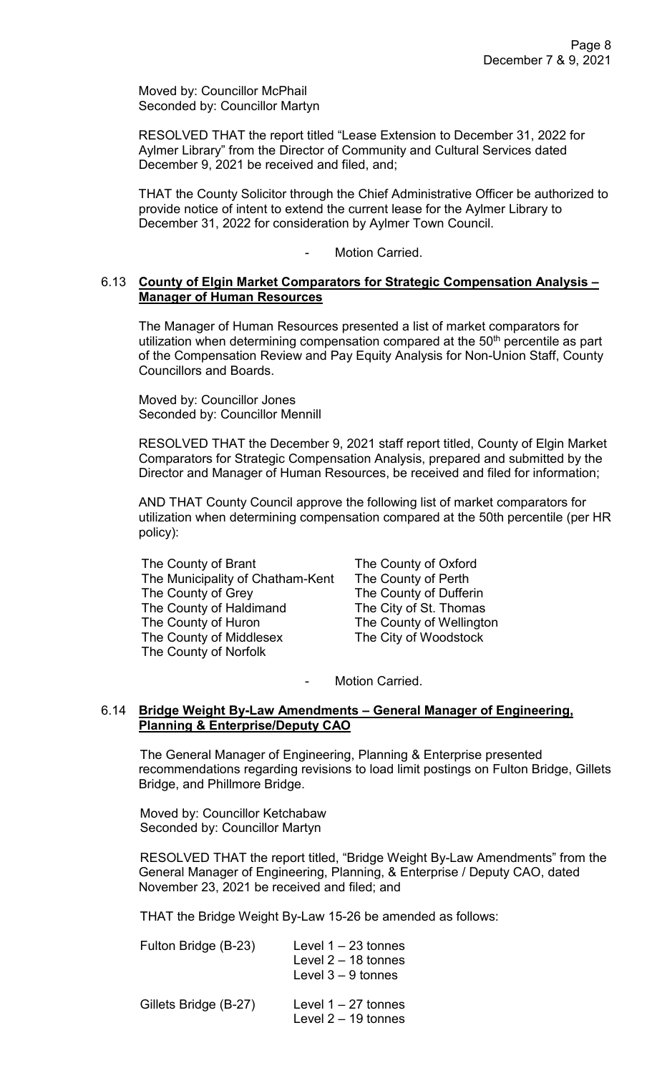Moved by: Councillor McPhail Seconded by: Councillor Martyn

RESOLVED THAT the report titled "Lease Extension to December 31, 2022 for Aylmer Library" from the Director of Community and Cultural Services dated December 9, 2021 be received and filed, and;

THAT the County Solicitor through the Chief Administrative Officer be authorized to provide notice of intent to extend the current lease for the Aylmer Library to December 31, 2022 for consideration by Aylmer Town Council.

Motion Carried.

## 6.13 **County of Elgin Market Comparators for Strategic Compensation Analysis – Manager of Human Resources**

The Manager of Human Resources presented a list of market comparators for utilization when determining compensation compared at the 50<sup>th</sup> percentile as part of the Compensation Review and Pay Equity Analysis for Non-Union Staff, County Councillors and Boards.

Moved by: Councillor Jones Seconded by: Councillor Mennill

RESOLVED THAT the December 9, 2021 staff report titled, County of Elgin Market Comparators for Strategic Compensation Analysis, prepared and submitted by the Director and Manager of Human Resources, be received and filed for information;

AND THAT County Council approve the following list of market comparators for utilization when determining compensation compared at the 50th percentile (per HR policy):

| The County of Brant              |
|----------------------------------|
| The Municipality of Chatham-Kent |
| The County of Grey               |
| The County of Haldimand          |
| The County of Huron              |
| The County of Middlesex          |
| The County of Norfolk            |
|                                  |

The County of Oxford The County of Perth The County of Dufferin The City of St. Thomas The County of Wellington The City of Woodstock

Motion Carried.

## 6.14 **Bridge Weight By-Law Amendments – General Manager of Engineering, Planning & Enterprise/Deputy CAO**

The General Manager of Engineering, Planning & Enterprise presented recommendations regarding revisions to load limit postings on Fulton Bridge, Gillets Bridge, and Phillmore Bridge.

Moved by: Councillor Ketchabaw Seconded by: Councillor Martyn

RESOLVED THAT the report titled, "Bridge Weight By-Law Amendments" from the General Manager of Engineering, Planning, & Enterprise / Deputy CAO, dated November 23, 2021 be received and filed; and

THAT the Bridge Weight By-Law 15-26 be amended as follows:

| Fulton Bridge (B-23)  | Level $1 - 23$ tonnes<br>Level $2 - 18$ tonnes<br>Level $3 - 9$ tonnes |
|-----------------------|------------------------------------------------------------------------|
| Gillets Bridge (B-27) | Level $1 - 27$ tonnes<br>Level $2 - 19$ tonnes                         |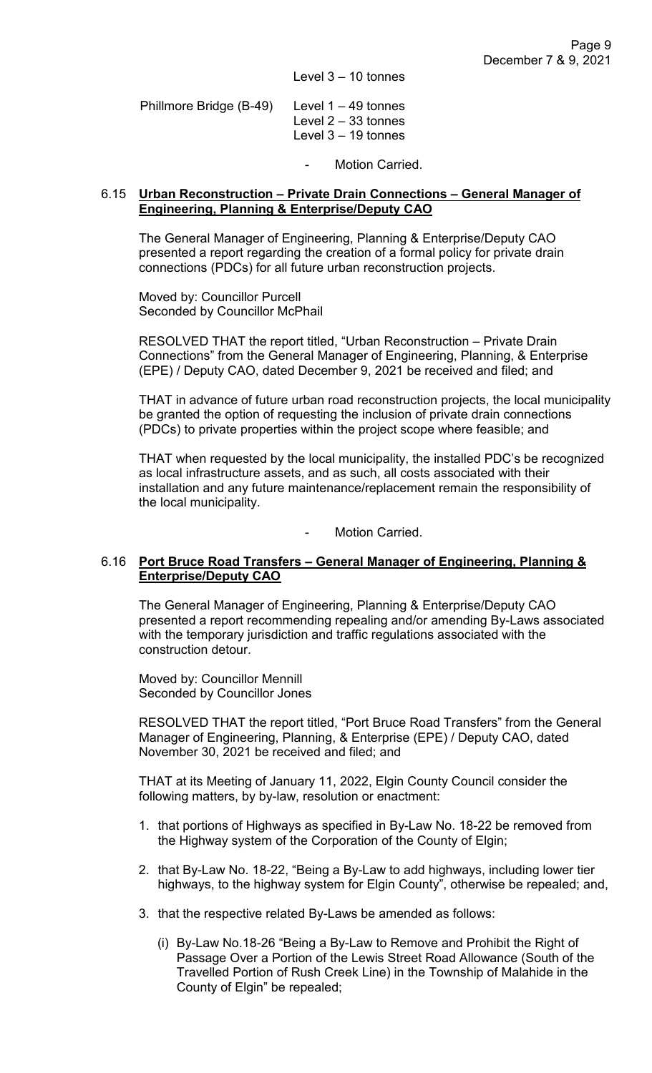Level  $3 - 10$  tonnes

| Phillmore Bridge $(B-49)$ Level 1 – 49 tonnes |                       |
|-----------------------------------------------|-----------------------|
|                                               | Level $2 - 33$ tonnes |
|                                               | Level $3 - 19$ tonnes |

Motion Carried.

#### 6.15 **Urban Reconstruction – Private Drain Connections – General Manager of Engineering, Planning & Enterprise/Deputy CAO**

The General Manager of Engineering, Planning & Enterprise/Deputy CAO presented a report regarding the creation of a formal policy for private drain connections (PDCs) for all future urban reconstruction projects.

Moved by: Councillor Purcell Seconded by Councillor McPhail

RESOLVED THAT the report titled, "Urban Reconstruction – Private Drain Connections" from the General Manager of Engineering, Planning, & Enterprise (EPE) / Deputy CAO, dated December 9, 2021 be received and filed; and

THAT in advance of future urban road reconstruction projects, the local municipality be granted the option of requesting the inclusion of private drain connections (PDCs) to private properties within the project scope where feasible; and

THAT when requested by the local municipality, the installed PDC's be recognized as local infrastructure assets, and as such, all costs associated with their installation and any future maintenance/replacement remain the responsibility of the local municipality.

Motion Carried.

## 6.16 **Port Bruce Road Transfers – General Manager of Engineering, Planning & Enterprise/Deputy CAO**

The General Manager of Engineering, Planning & Enterprise/Deputy CAO presented a report recommending repealing and/or amending By-Laws associated with the temporary jurisdiction and traffic regulations associated with the construction detour.

Moved by: Councillor Mennill Seconded by Councillor Jones

RESOLVED THAT the report titled, "Port Bruce Road Transfers" from the General Manager of Engineering, Planning, & Enterprise (EPE) / Deputy CAO, dated November 30, 2021 be received and filed; and

THAT at its Meeting of January 11, 2022, Elgin County Council consider the following matters, by by-law, resolution or enactment:

- 1. that portions of Highways as specified in By-Law No. 18-22 be removed from the Highway system of the Corporation of the County of Elgin;
- 2. that By-Law No. 18-22, "Being a By-Law to add highways, including lower tier highways, to the highway system for Elgin County", otherwise be repealed; and,
- 3. that the respective related By-Laws be amended as follows:
	- (i) By-Law No.18-26 "Being a By-Law to Remove and Prohibit the Right of Passage Over a Portion of the Lewis Street Road Allowance (South of the Travelled Portion of Rush Creek Line) in the Township of Malahide in the County of Elgin" be repealed;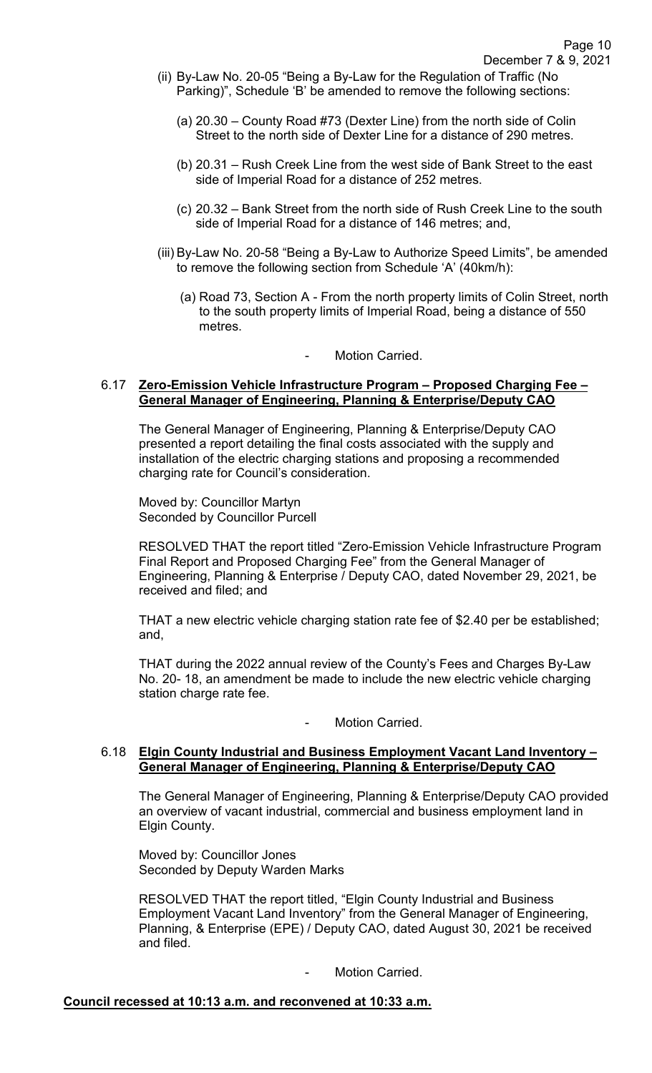- (ii) By-Law No. 20-05 "Being a By-Law for the Regulation of Traffic (No Parking)", Schedule 'B' be amended to remove the following sections:
	- (a) 20.30 County Road #73 (Dexter Line) from the north side of Colin Street to the north side of Dexter Line for a distance of 290 metres.
	- (b) 20.31 Rush Creek Line from the west side of Bank Street to the east side of Imperial Road for a distance of 252 metres.
	- (c) 20.32 Bank Street from the north side of Rush Creek Line to the south side of Imperial Road for a distance of 146 metres; and,
- (iii) By-Law No. 20-58 "Being a By-Law to Authorize Speed Limits", be amended to remove the following section from Schedule 'A' (40km/h):
	- (a) Road 73, Section A From the north property limits of Colin Street, north to the south property limits of Imperial Road, being a distance of 550 metres.

#### Motion Carried.

#### 6.17 **Zero-Emission Vehicle Infrastructure Program – Proposed Charging Fee – General Manager of Engineering, Planning & Enterprise/Deputy CAO**

The General Manager of Engineering, Planning & Enterprise/Deputy CAO presented a report detailing the final costs associated with the supply and installation of the electric charging stations and proposing a recommended charging rate for Council's consideration.

Moved by: Councillor Martyn Seconded by Councillor Purcell

RESOLVED THAT the report titled "Zero-Emission Vehicle Infrastructure Program Final Report and Proposed Charging Fee" from the General Manager of Engineering, Planning & Enterprise / Deputy CAO, dated November 29, 2021, be received and filed; and

THAT a new electric vehicle charging station rate fee of \$2.40 per be established; and,

THAT during the 2022 annual review of the County's Fees and Charges By-Law No. 20- 18, an amendment be made to include the new electric vehicle charging station charge rate fee.

Motion Carried.

#### 6.18 **Elgin County Industrial and Business Employment Vacant Land Inventory – General Manager of Engineering, Planning & Enterprise/Deputy CAO**

The General Manager of Engineering, Planning & Enterprise/Deputy CAO provided an overview of vacant industrial, commercial and business employment land in Elgin County.

Moved by: Councillor Jones Seconded by Deputy Warden Marks

RESOLVED THAT the report titled, "Elgin County Industrial and Business Employment Vacant Land Inventory" from the General Manager of Engineering, Planning, & Enterprise (EPE) / Deputy CAO, dated August 30, 2021 be received and filed.

Motion Carried.

#### **Council recessed at 10:13 a.m. and reconvened at 10:33 a.m.**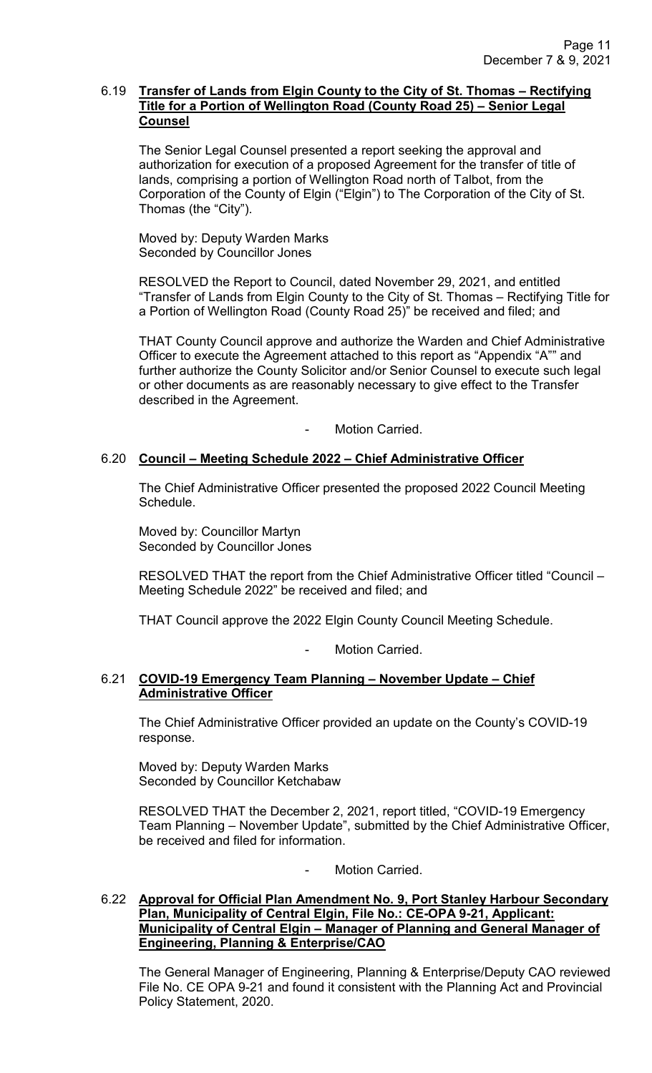#### 6.19 **Transfer of Lands from Elgin County to the City of St. Thomas – Rectifying Title for a Portion of Wellington Road (County Road 25) – Senior Legal Counsel**

The Senior Legal Counsel presented a report seeking the approval and authorization for execution of a proposed Agreement for the transfer of title of lands, comprising a portion of Wellington Road north of Talbot, from the Corporation of the County of Elgin ("Elgin") to The Corporation of the City of St. Thomas (the "City").

Moved by: Deputy Warden Marks Seconded by Councillor Jones

RESOLVED the Report to Council, dated November 29, 2021, and entitled "Transfer of Lands from Elgin County to the City of St. Thomas – Rectifying Title for a Portion of Wellington Road (County Road 25)" be received and filed; and

THAT County Council approve and authorize the Warden and Chief Administrative Officer to execute the Agreement attached to this report as "Appendix "A"" and further authorize the County Solicitor and/or Senior Counsel to execute such legal or other documents as are reasonably necessary to give effect to the Transfer described in the Agreement.

Motion Carried.

# 6.20 **Council – Meeting Schedule 2022 – Chief Administrative Officer**

The Chief Administrative Officer presented the proposed 2022 Council Meeting Schedule.

Moved by: Councillor Martyn Seconded by Councillor Jones

RESOLVED THAT the report from the Chief Administrative Officer titled "Council – Meeting Schedule 2022" be received and filed; and

THAT Council approve the 2022 Elgin County Council Meeting Schedule.

Motion Carried.

## 6.21 **COVID-19 Emergency Team Planning – November Update – Chief Administrative Officer**

The Chief Administrative Officer provided an update on the County's COVID-19 response.

Moved by: Deputy Warden Marks Seconded by Councillor Ketchabaw

RESOLVED THAT the December 2, 2021, report titled, "COVID-19 Emergency Team Planning – November Update", submitted by the Chief Administrative Officer, be received and filed for information.

Motion Carried.

# 6.22 **Approval for Official Plan Amendment No. 9, Port Stanley Harbour Secondary Plan, Municipality of Central Elgin, File No.: CE-OPA 9-21, Applicant: Municipality of Central Elgin – Manager of Planning and General Manager of Engineering, Planning & Enterprise/CAO**

 The General Manager of Engineering, Planning & Enterprise/Deputy CAO reviewed File No. CE OPA 9-21 and found it consistent with the Planning Act and Provincial Policy Statement, 2020.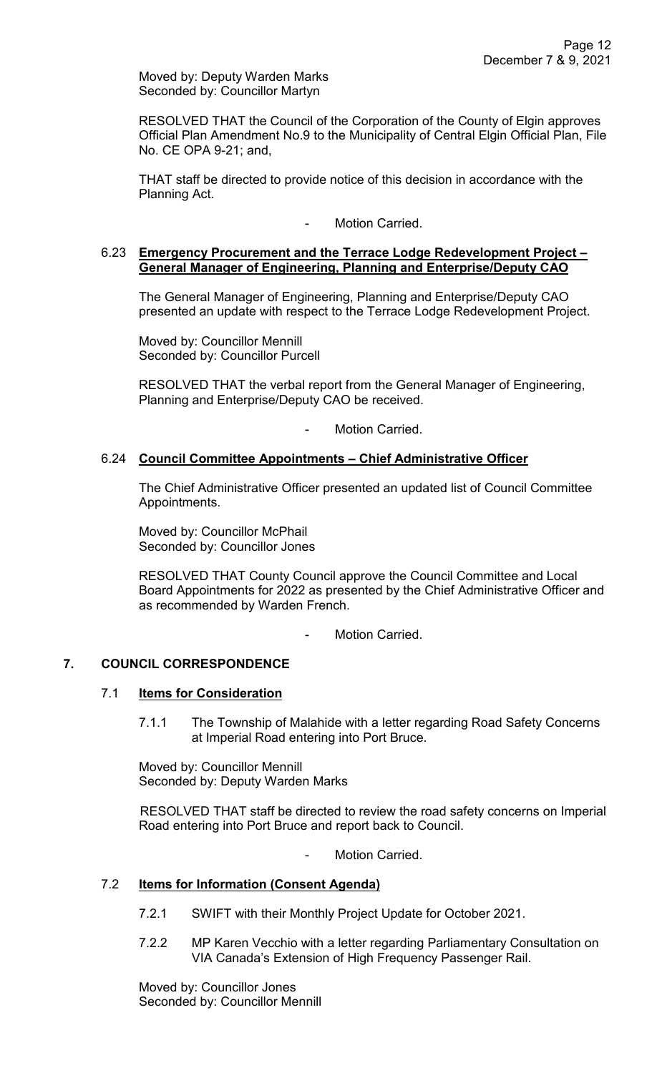Moved by: Deputy Warden Marks Seconded by: Councillor Martyn

 RESOLVED THAT the Council of the Corporation of the County of Elgin approves Official Plan Amendment No.9 to the Municipality of Central Elgin Official Plan, File No. CE OPA 9-21; and,

 THAT staff be directed to provide notice of this decision in accordance with the Planning Act.

- Motion Carried.

### 6.23 **Emergency Procurement and the Terrace Lodge Redevelopment Project – General Manager of Engineering, Planning and Enterprise/Deputy CAO**

The General Manager of Engineering, Planning and Enterprise/Deputy CAO presented an update with respect to the Terrace Lodge Redevelopment Project.

Moved by: Councillor Mennill Seconded by: Councillor Purcell

RESOLVED THAT the verbal report from the General Manager of Engineering, Planning and Enterprise/Deputy CAO be received.

Motion Carried.

# 6.24 **Council Committee Appointments – Chief Administrative Officer**

The Chief Administrative Officer presented an updated list of Council Committee Appointments.

Moved by: Councillor McPhail Seconded by: Councillor Jones

RESOLVED THAT County Council approve the Council Committee and Local Board Appointments for 2022 as presented by the Chief Administrative Officer and as recommended by Warden French.

Motion Carried.

# **7. COUNCIL CORRESPONDENCE**

#### 7.1 **Items for Consideration**

7.1.1 The Township of Malahide with a letter regarding Road Safety Concerns at Imperial Road entering into Port Bruce.

Moved by: Councillor Mennill Seconded by: Deputy Warden Marks

RESOLVED THAT staff be directed to review the road safety concerns on Imperial Road entering into Port Bruce and report back to Council.

Motion Carried.

# 7.2 **Items for Information (Consent Agenda)**

- 7.2.1 SWIFT with their Monthly Project Update for October 2021.
- 7.2.2 MP Karen Vecchio with a letter regarding Parliamentary Consultation on VIA Canada's Extension of High Frequency Passenger Rail.

Moved by: Councillor Jones Seconded by: Councillor Mennill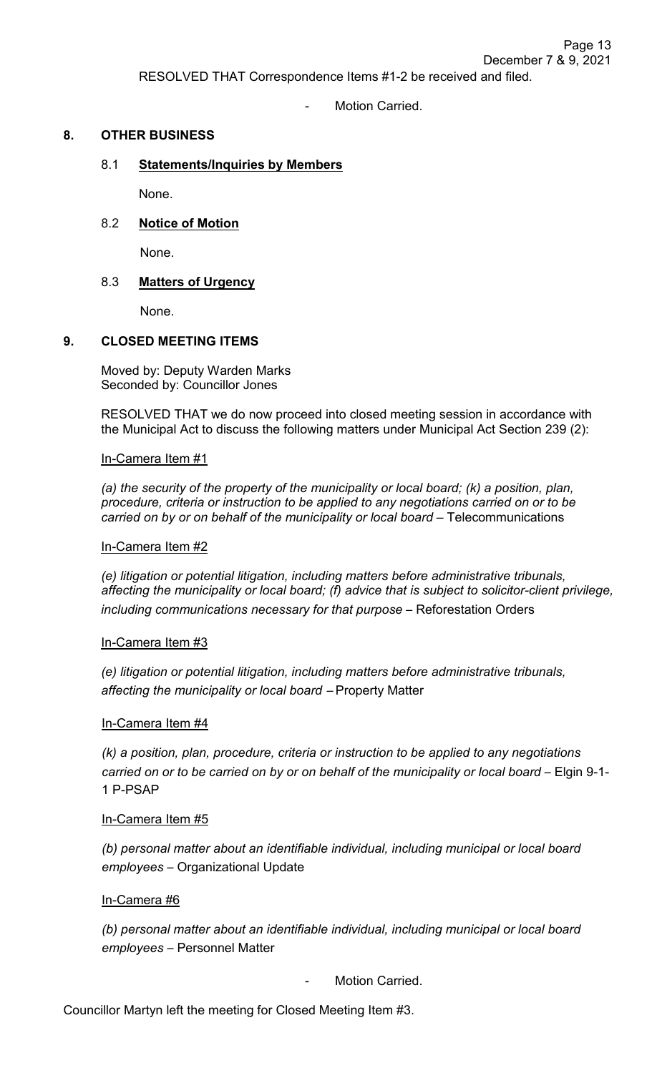RESOLVED THAT Correspondence Items #1-2 be received and filed.

Motion Carried

## **8. OTHER BUSINESS**

#### 8.1 **Statements/Inquiries by Members**

None.

#### 8.2 **Notice of Motion**

None.

#### 8.3 **Matters of Urgency**

None.

#### **9. CLOSED MEETING ITEMS**

Moved by: Deputy Warden Marks Seconded by: Councillor Jones

RESOLVED THAT we do now proceed into closed meeting session in accordance with the Municipal Act to discuss the following matters under Municipal Act Section 239 (2):

In-Camera Item #1

*(a) the security of the property of the municipality or local board; (k) a position, plan, procedure, criteria or instruction to be applied to any negotiations carried on or to be carried on by or on behalf of the municipality or local board* – Telecommunications

#### In-Camera Item #2

*(e) litigation or potential litigation, including matters before administrative tribunals, affecting the municipality or local board; (f) advice that is subject to solicitor-client privilege, including communications necessary for that purpose* – Reforestation Orders

#### In-Camera Item #3

*(e) litigation or potential litigation, including matters before administrative tribunals, affecting the municipality or local board* – Property Matter

#### In-Camera Item #4

*(k) a position, plan, procedure, criteria or instruction to be applied to any negotiations carried on or to be carried on by or on behalf of the municipality or local board* – Elgin 9-1- 1 P-PSAP

#### In-Camera Item #5

*(b) personal matter about an identifiable individual, including municipal or local board employees* – Organizational Update

#### In-Camera #6

*(b) personal matter about an identifiable individual, including municipal or local board employees* – Personnel Matter

Motion Carried.

Councillor Martyn left the meeting for Closed Meeting Item #3.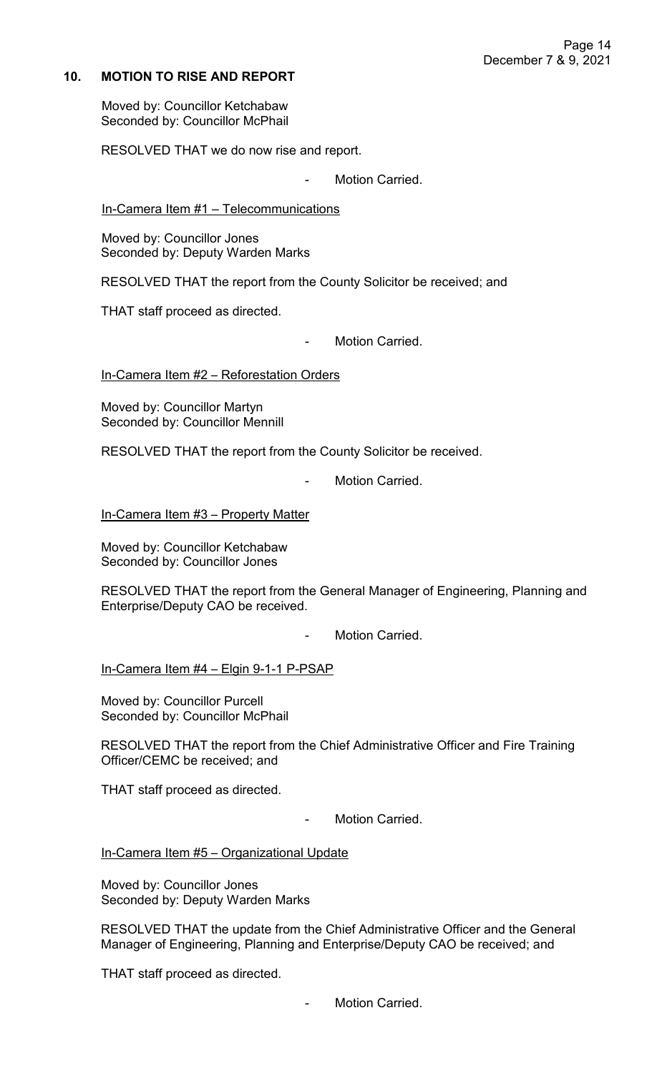# **10. MOTION TO RISE AND REPORT**

Moved by: Councillor Ketchabaw Seconded by: Councillor McPhail

RESOLVED THAT we do now rise and report.

Motion Carried.

In-Camera Item #1 – Telecommunications

Moved by: Councillor Jones Seconded by: Deputy Warden Marks

RESOLVED THAT the report from the County Solicitor be received; and

THAT staff proceed as directed.

Motion Carried.

In-Camera Item #2 - Reforestation Orders

Moved by: Councillor Martyn Seconded by: Councillor Mennill

RESOLVED THAT the report from the County Solicitor be received.

- Motion Carried.

In-Camera Item #3 – Property Matter

Moved by: Councillor Ketchabaw Seconded by: Councillor Jones

RESOLVED THAT the report from the General Manager of Engineering, Planning and Enterprise/Deputy CAO be received.

Motion Carried

In-Camera Item #4 – Elgin 9-1-1 P-PSAP

Moved by: Councillor Purcell Seconded by: Councillor McPhail

RESOLVED THAT the report from the Chief Administrative Officer and Fire Training Officer/CEMC be received; and

THAT staff proceed as directed.

- Motion Carried.

In-Camera Item #5 - Organizational Update

Moved by: Councillor Jones Seconded by: Deputy Warden Marks

RESOLVED THAT the update from the Chief Administrative Officer and the General Manager of Engineering, Planning and Enterprise/Deputy CAO be received; and

THAT staff proceed as directed.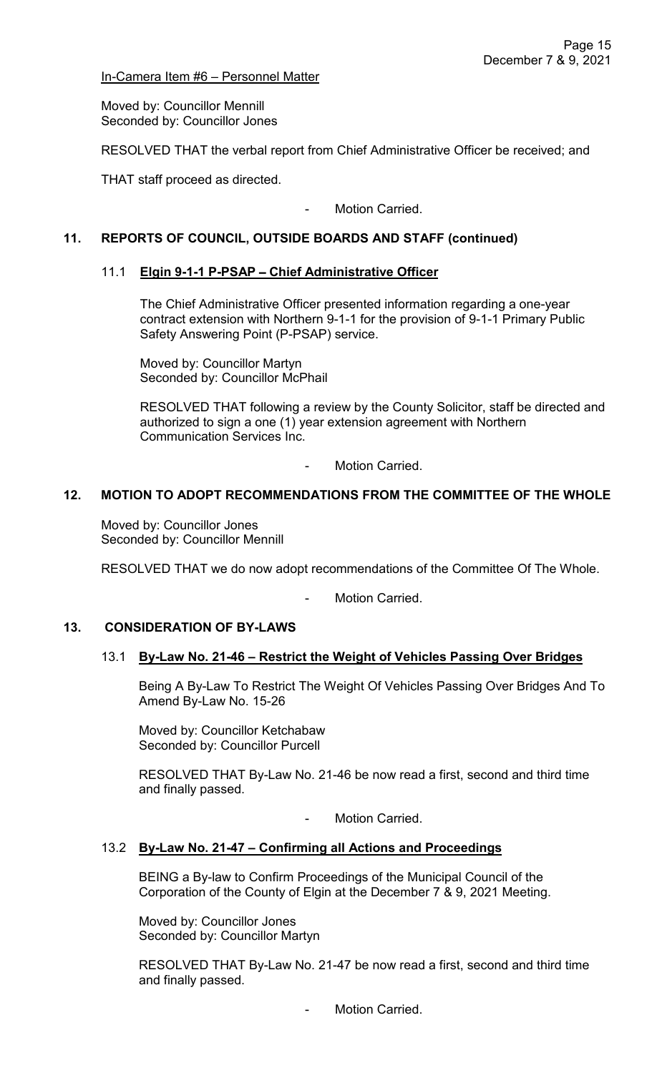In-Camera Item #6 – Personnel Matter

Moved by: Councillor Mennill Seconded by: Councillor Jones

RESOLVED THAT the verbal report from Chief Administrative Officer be received; and

THAT staff proceed as directed.

- Motion Carried.

# **11. REPORTS OF COUNCIL, OUTSIDE BOARDS AND STAFF (continued)**

## 11.1 **Elgin 9-1-1 P-PSAP** – **Chief Administrative Officer**

The Chief Administrative Officer presented information regarding a one-year contract extension with Northern 9-1-1 for the provision of 9-1-1 Primary Public Safety Answering Point (P-PSAP) service.

 Moved by: Councillor Martyn Seconded by: Councillor McPhail

RESOLVED THAT following a review by the County Solicitor, staff be directed and authorized to sign a one (1) year extension agreement with Northern Communication Services Inc.

Motion Carried.

## **12. MOTION TO ADOPT RECOMMENDATIONS FROM THE COMMITTEE OF THE WHOLE**

Moved by: Councillor Jones Seconded by: Councillor Mennill

RESOLVED THAT we do now adopt recommendations of the Committee Of The Whole.

Motion Carried.

# **13. CONSIDERATION OF BY-LAWS**

#### 13.1 **By-Law No. 21-46 – Restrict the Weight of Vehicles Passing Over Bridges**

Being A By-Law To Restrict The Weight Of Vehicles Passing Over Bridges And To Amend By-Law No. 15-26

Moved by: Councillor Ketchabaw Seconded by: Councillor Purcell

RESOLVED THAT By-Law No. 21-46 be now read a first, second and third time and finally passed.

Motion Carried.

#### 13.2 **By-Law No. 21-47 – Confirming all Actions and Proceedings**

BEING a By-law to Confirm Proceedings of the Municipal Council of the Corporation of the County of Elgin at the December 7 & 9, 2021 Meeting.

Moved by: Councillor Jones Seconded by: Councillor Martyn

RESOLVED THAT By-Law No. 21-47 be now read a first, second and third time and finally passed.

Motion Carried.